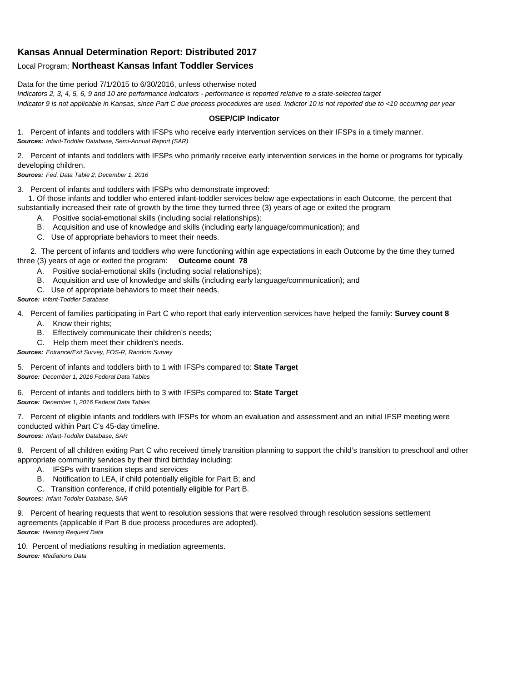## **Kansas Annual Determination Report: Distributed 2017**

## Local Program: **Northeast Kansas Infant Toddler Services**

Data for the time period 7/1/2015 to 6/30/2016, unless otherwise noted

*Indicators 2, 3, 4, 5, 6, 9 and 10 are performance indicators - performance is reported relative to a state-selected target Indicator 9 is not applicable in Kansas, since Part C due process procedures are used. Indictor 10 is not reported due to <10 occurring per year*

## **OSEP/CIP Indicator**

1. Percent of infants and toddlers with IFSPs who receive early intervention services on their IFSPs in a timely manner. *Sources: Infant-Toddler Database, Semi-Annual Report (SAR)* 

2. Percent of infants and toddlers with IFSPs who primarily receive early intervention services in the home or programs for typically developing children.

*Sources: Fed. Data Table 2; December 1, 2016*

3. Percent of infants and toddlers with IFSPs who demonstrate improved:

 1. Of those infants and toddler who entered infant-toddler services below age expectations in each Outcome, the percent that substantially increased their rate of growth by the time they turned three (3) years of age or exited the program

- A. Positive social-emotional skills (including social relationships);
- B. Acquisition and use of knowledge and skills (including early language/communication); and
- C. Use of appropriate behaviors to meet their needs.

 2. The percent of infants and toddlers who were functioning within age expectations in each Outcome by the time they turned three (3) years of age or exited the program: **Outcome count 78**

- A. Positive social-emotional skills (including social relationships);
- B. Acquisition and use of knowledge and skills (including early language/communication); and
- C. Use of appropriate behaviors to meet their needs.

## *Source: Infant-Toddler Database*

4. Percent of families participating in Part C who report that early intervention services have helped the family: **Survey count 8**

- A. Know their rights;
- B. Effectively communicate their children's needs;
- C. Help them meet their children's needs.
- *Sources: Entrance/Exit Survey, FOS-R, Random Survey*

5. Percent of infants and toddlers birth to 1 with IFSPs compared to: **State Target** *Source: December 1, 2016 Federal Data Tables*

6. Percent of infants and toddlers birth to 3 with IFSPs compared to: **State Target** *Source: December 1, 2016 Federal Data Tables*

7. Percent of eligible infants and toddlers with IFSPs for whom an evaluation and assessment and an initial IFSP meeting were conducted within Part C's 45-day timeline.

*Sources: Infant-Toddler Database, SAR*

8. Percent of all children exiting Part C who received timely transition planning to support the child's transition to preschool and other appropriate community services by their third birthday including:

- A. IFSPs with transition steps and services
- B. Notification to LEA, if child potentially eligible for Part B; and
- C. Transition conference, if child potentially eligible for Part B.

*Sources: Infant-Toddler Database, SAR*

9. Percent of hearing requests that went to resolution sessions that were resolved through resolution sessions settlement agreements (applicable if Part B due process procedures are adopted). *Source: Hearing Request Data*

10. Percent of mediations resulting in mediation agreements. *Source: Mediations Data*